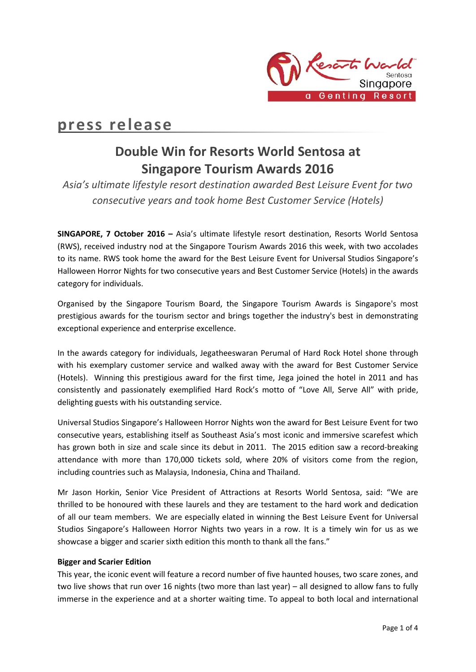

# **press release**

## **Double Win for Resorts World Sentosa at Singapore Tourism Awards 2016**

*Asia's ultimate lifestyle resort destination awarded Best Leisure Event for two consecutive years and took home Best Customer Service (Hotels)*

**SINGAPORE, 7 October 2016 –** Asia's ultimate lifestyle resort destination, Resorts World Sentosa (RWS), received industry nod at the Singapore Tourism Awards 2016 this week, with two accolades to its name. RWS took home the award for the Best Leisure Event for Universal Studios Singapore's Halloween Horror Nights for two consecutive years and Best Customer Service (Hotels) in the awards category for individuals.

Organised by the Singapore Tourism Board, the Singapore Tourism Awards is Singapore's most prestigious awards for the tourism sector and brings together the industry's best in demonstrating exceptional experience and enterprise excellence.

In the awards category for individuals, Jegatheeswaran Perumal of Hard Rock Hotel shone through with his exemplary customer service and walked away with the award for Best Customer Service (Hotels). Winning this prestigious award for the first time, Jega joined the hotel in 2011 and has consistently and passionately exemplified Hard Rock's motto of "Love All, Serve All" with pride, delighting guests with his outstanding service.

Universal Studios Singapore's Halloween Horror Nights won the award for Best Leisure Event for two consecutive years, establishing itself as Southeast Asia's most iconic and immersive scarefest which has grown both in size and scale since its debut in 2011. The 2015 edition saw a record-breaking attendance with more than 170,000 tickets sold, where 20% of visitors come from the region, including countries such as Malaysia, Indonesia, China and Thailand.

Mr Jason Horkin, Senior Vice President of Attractions at Resorts World Sentosa, said: "We are thrilled to be honoured with these laurels and they are testament to the hard work and dedication of all our team members. We are especially elated in winning the Best Leisure Event for Universal Studios Singapore's Halloween Horror Nights two years in a row. It is a timely win for us as we showcase a bigger and scarier sixth edition this month to thank all the fans."

## **Bigger and Scarier Edition**

This year, the iconic event will feature a record number of five haunted houses, two scare zones, and two live shows that run over 16 nights (two more than last year) – all designed to allow fans to fully immerse in the experience and at a shorter waiting time. To appeal to both local and international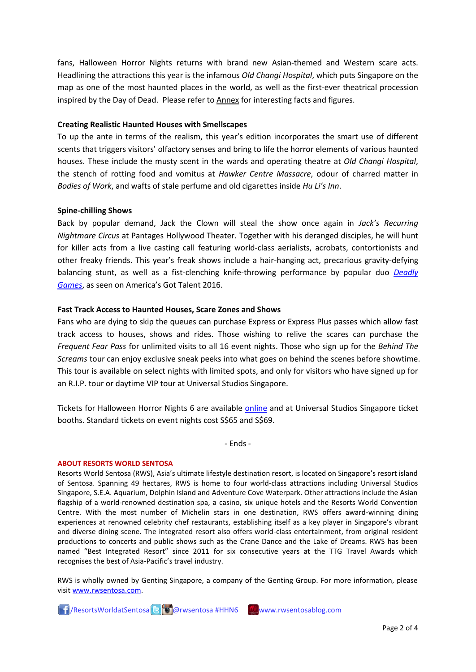fans, Halloween Horror Nights returns with brand new Asian-themed and Western scare acts. Headlining the attractions this year is the infamous *Old Changi Hospital*, which puts Singapore on the map as one of the most haunted places in the world, as well as the first-ever theatrical procession inspired by the Day of Dead. Please refer to **Annex** for interesting facts and figures.

## **Creating Realistic Haunted Houses with Smellscapes**

To up the ante in terms of the realism, this year's edition incorporates the smart use of different scents that triggers visitors' olfactory senses and bring to life the horror elements of various haunted houses. These include the musty scent in the wards and operating theatre at *Old Changi Hospital*, the stench of rotting food and vomitus at *Hawker Centre Massacre*, odour of charred matter in *Bodies of Work*, and wafts of stale perfume and old cigarettes inside *Hu Li's Inn*.

### **Spine-chilling Shows**

Back by popular demand, Jack the Clown will steal the show once again in *Jack's Recurring Nightmare Circus* at Pantages Hollywood Theater. Together with his deranged disciples, he will hunt for killer acts from a live casting call featuring world-class aerialists, acrobats, contortionists and other freaky friends. This year's freak shows include a hair-hanging act, precarious gravity-defying balancing stunt, as well as a fist-clenching knife-throwing performance by popular duo *[Deadly](https://www.youtube.com/watch?v=5PB1vI5bRqg)  [Games](https://www.youtube.com/watch?v=5PB1vI5bRqg)*, as seen on America's Got Talent 2016.

## **Fast Track Access to Haunted Houses, Scare Zones and Shows**

Fans who are dying to skip the queues can purchase Express or Express Plus passes which allow fast track access to houses, shows and rides. Those wishing to relive the scares can purchase the *Frequent Fear Pass* for unlimited visits to all 16 event nights. Those who sign up for the *Behind The Screams* tour can enjoy exclusive sneak peeks into what goes on behind the scenes before showtime. This tour is available on select nights with limited spots, and only for visitors who have signed up for an R.I.P. tour or daytime VIP tour at Universal Studios Singapore.

Tickets for Halloween Horror Nights 6 are available [online](http://www.halloweenhorrornights.com.sg/) and at Universal Studios Singapore ticket booths. Standard tickets on event nights cost S\$65 and S\$69.

- Ends -

#### **ABOUT RESORTS WORLD SENTOSA**

Resorts World Sentosa (RWS), Asia's ultimate lifestyle destination resort, is located on Singapore's resort island of Sentosa. Spanning 49 hectares, RWS is home to four world-class attractions including Universal Studios Singapore, S.E.A. Aquarium, Dolphin Island and Adventure Cove Waterpark. Other attractions include the Asian flagship of a world-renowned destination spa, a casino, six unique hotels and the Resorts World Convention Centre. With the most number of Michelin stars in one destination, RWS offers award-winning dining experiences at renowned celebrity chef restaurants, establishing itself as a key player in Singapore's vibrant and diverse dining scene. The integrated resort also offers world-class entertainment, from original resident productions to concerts and public shows such as the Crane Dance and the Lake of Dreams. RWS has been named "Best Integrated Resort" since 2011 for six consecutive years at the TTG Travel Awards which recognises the best of Asia-Pacific's travel industry.

RWS is wholly owned by Genting Singapore, a company of the Genting Group. For more information, please visi[t www.rwsentosa.com.](http://www.rwsentosa.com/)

**[1]** /ResortsWorldatSentosa **B** o @rwsentosa #HHN6 www.rwsentosablog.com

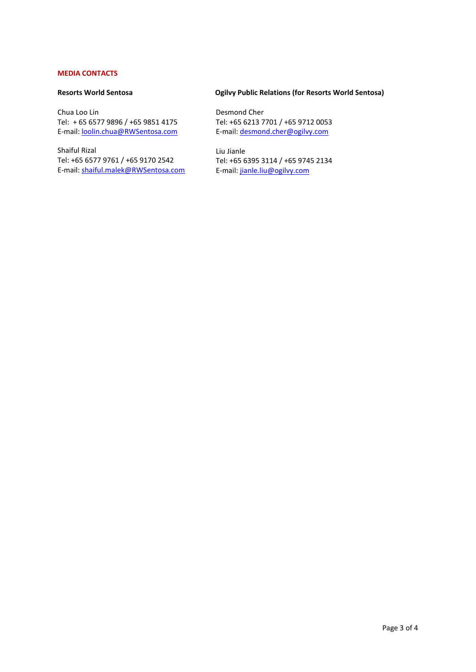## **MEDIA CONTACTS**

### **Resorts World Sentosa**

Chua Loo Lin Tel: + 65 6577 9896 / +65 9851 4175 E-mail: [loolin.chua@RWSentosa.com](mailto:loolin.chua@RWSentosa.com)

Shaiful Rizal Tel: +65 6577 9761 / +65 9170 2542 E-mail: [shaiful.malek@RWSentosa.com](mailto:shaiful.malek@RWSentosa.com)

## **Ogilvy Public Relations (for Resorts World Sentosa)**

 Desmond Cher Tel: +65 6213 7701 / +65 9712 0053 E-mail[: desmond.cher@ogilvy.com](mailto:desmond.cher@ogilvy.com)

 Liu Jianle Tel: +65 6395 3114 / +65 9745 2134 E-mail[: jianle.liu@ogilvy.com](mailto:jianle.liu@ogilvy.com)